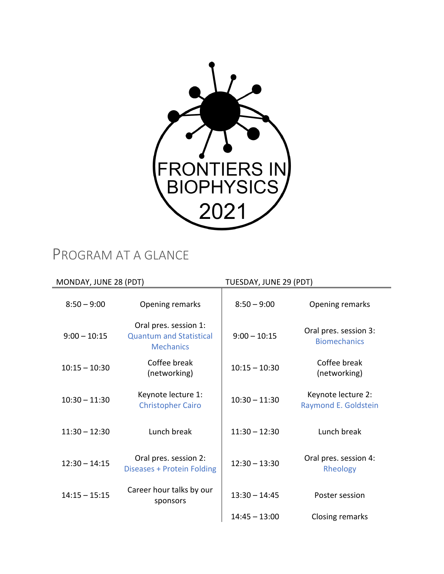

# PROGRAM AT A GLANCE

| MONDAY, JUNE 28 (PDT) |                                                                             | TUESDAY, JUNE 29 (PDT) |                                              |
|-----------------------|-----------------------------------------------------------------------------|------------------------|----------------------------------------------|
| $8:50 - 9:00$         | Opening remarks                                                             | $8:50 - 9:00$          | Opening remarks                              |
| $9:00 - 10:15$        | Oral pres. session 1:<br><b>Quantum and Statistical</b><br><b>Mechanics</b> | $9:00 - 10:15$         | Oral pres. session 3:<br><b>Biomechanics</b> |
| $10:15 - 10:30$       | Coffee break<br>(networking)                                                | $10:15 - 10:30$        | Coffee break<br>(networking)                 |
| $10:30 - 11:30$       | Keynote lecture 1:<br><b>Christopher Cairo</b>                              | $10:30 - 11:30$        | Keynote lecture 2:<br>Raymond E. Goldstein   |
| $11:30 - 12:30$       | Lunch break                                                                 | $11:30 - 12:30$        | Lunch break                                  |
| $12:30 - 14:15$       | Oral pres. session 2:<br>Diseases + Protein Folding                         | $12:30 - 13:30$        | Oral pres. session 4:<br>Rheology            |
| $14:15 - 15:15$       | Career hour talks by our<br>sponsors                                        | $13:30 - 14:45$        | Poster session                               |
|                       |                                                                             | $14:45 - 13:00$        | Closing remarks                              |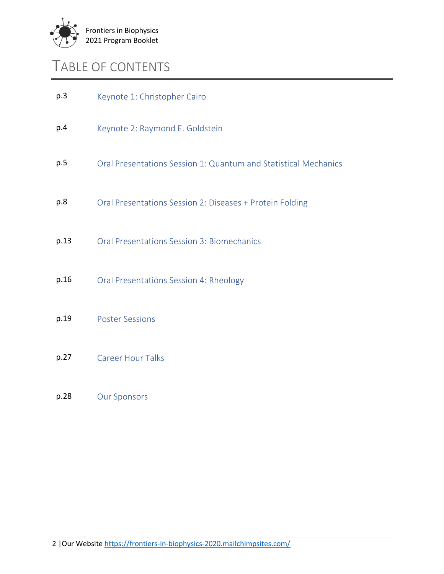

## TABLE OF CONTENTS

| Oral Presentations Session 1: Quantum and Statistical Mechanics |
|-----------------------------------------------------------------|
|                                                                 |
|                                                                 |
|                                                                 |
|                                                                 |
|                                                                 |
|                                                                 |

#### p.28 Our Sponsors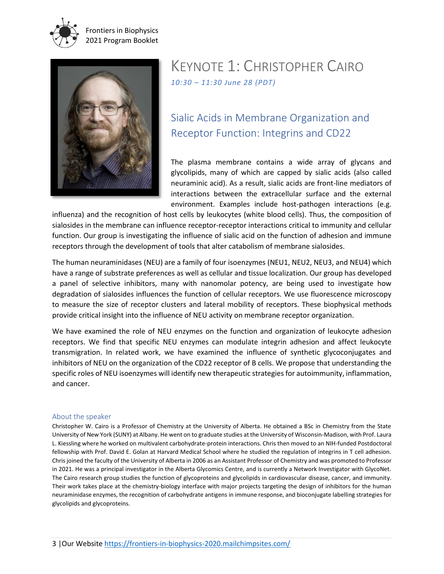

Frontiers in Biophysics 2021 Program Booklet



### KEYNOTE 1: CHRISTOPHER CAIRO *10:30 – 11:30 June 28 (PDT)*

### Sialic Acids in Membrane Organization and Receptor Function: Integrins and CD22

The plasma membrane contains a wide array of glycans and glycolipids, many of which are capped by sialic acids (also called neuraminic acid). As a result, sialic acids are front-line mediators of interactions between the extracellular surface and the external environment. Examples include host-pathogen interactions (e.g.

influenza) and the recognition of host cells by leukocytes (white blood cells). Thus, the composition of sialosides in the membrane can influence receptor-receptor interactions critical to immunity and cellular function. Our group is investigating the influence of sialic acid on the function of adhesion and immune receptors through the development of tools that alter catabolism of membrane sialosides.

The human neuraminidases (NEU) are a family of four isoenzymes (NEU1, NEU2, NEU3, and NEU4) which have a range of substrate preferences as well as cellular and tissue localization. Our group has developed a panel of selective inhibitors, many with nanomolar potency, are being used to investigate how degradation of sialosides influences the function of cellular receptors. We use fluorescence microscopy to measure the size of receptor clusters and lateral mobility of receptors. These biophysical methods provide critical insight into the influence of NEU activity on membrane receptor organization.

We have examined the role of NEU enzymes on the function and organization of leukocyte adhesion receptors. We find that specific NEU enzymes can modulate integrin adhesion and affect leukocyte transmigration. In related work, we have examined the influence of synthetic glycoconjugates and inhibitors of NEU on the organization of the CD22 receptor of B cells. We propose that understanding the specific roles of NEU isoenzymes will identify new therapeutic strategies for autoimmunity, inflammation, and cancer.

#### About the speaker

Christopher W. Cairo is a Professor of Chemistry at the University of Alberta. He obtained a BSc in Chemistry from the State University of New York (SUNY) at Albany. He went on to graduate studies at the University of Wisconsin-Madison, with Prof. Laura L. Kiessling where he worked on multivalent carbohydrate-protein interactions. Chris then moved to an NIH-funded Postdoctoral fellowship with Prof. David E. Golan at Harvard Medical School where he studied the regulation of integrins in T cell adhesion. Chris joined the faculty of the University of Alberta in 2006 as an Assistant Professor of Chemistry and was promoted to Professor in 2021. He was a principal investigator in the Alberta Glycomics Centre, and is currently a Network Investigator with GlycoNet. The Cairo research group studies the function of glycoproteins and glycolipids in cardiovascular disease, cancer, and immunity. Their work takes place at the chemistry-biology interface with major projects targeting the design of inhibitors for the human neuraminidase enzymes, the recognition of carbohydrate antigens in immune response, and bioconjugate labelling strategies for glycolipids and glycoproteins.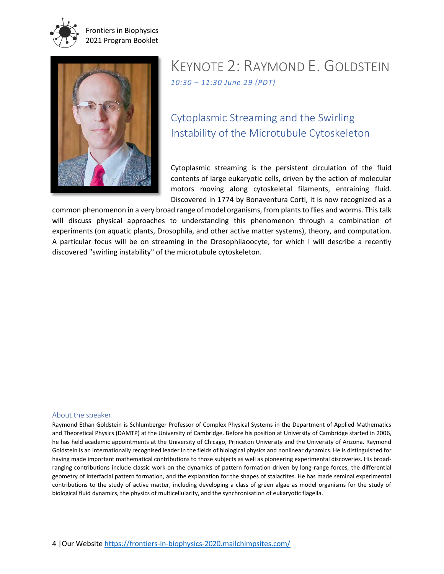

Frontiers in Biophysics 2021 Program Booklet



### KEYNOTE 2: RAYMOND E. GOLDSTEIN *10:30 – 11:30 June 29 (PDT)*

### Cytoplasmic Streaming and the Swirling Instability of the Microtubule Cytoskeleton

Cytoplasmic streaming is the persistent circulation of the fluid contents of large eukaryotic cells, driven by the action of molecular motors moving along cytoskeletal filaments, entraining fluid. Discovered in 1774 by Bonaventura Corti, it is now recognized as a

common phenomenon in a very broad range of model organisms, from plants to flies and worms. This talk will discuss physical approaches to understanding this phenomenon through a combination of experiments (on aquatic plants, Drosophila, and other active matter systems), theory, and computation. A particular focus will be on streaming in the Drosophilaoocyte, for which I will describe a recently discovered "swirling instability" of the microtubule cytoskeleton.

#### About the speaker

Raymond Ethan Goldstein is Schlumberger Professor of Complex Physical Systems in the Department of Applied Mathematics and Theoretical Physics (DAMTP) at the University of Cambridge. Before his position at University of Cambridge started in 2006, he has held academic appointments at the University of Chicago, Princeton University and the University of Arizona. Raymond Goldstein is an internationally recognised leader in the fields of biological physics and nonlinear dynamics. He is distinguished for having made important mathematical contributions to those subjects as well as pioneering experimental discoveries. His broadranging contributions include classic work on the dynamics of pattern formation driven by long-range forces, the differential geometry of interfacial pattern formation, and the explanation for the shapes of stalactites. He has made seminal experimental contributions to the study of active matter, including developing a class of green algae as model organisms for the study of biological fluid dynamics, the physics of multicellularity, and the synchronisation of eukaryotic flagella.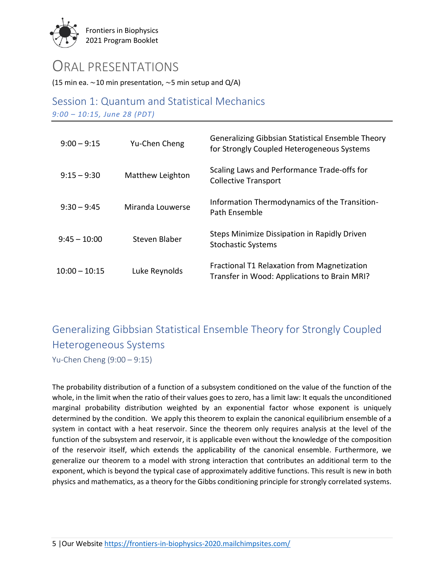

### ORAL PRESENTATIONS

(15 min ea.  $\sim$  10 min presentation,  $\sim$  5 min setup and Q/A)

Session 1: Quantum and Statistical Mechanics *9:00 – 10:15, June 28 (PDT)*

| $9:00 - 9:15$   | Yu-Chen Cheng    | Generalizing Gibbsian Statistical Ensemble Theory<br>for Strongly Coupled Heterogeneous Systems |
|-----------------|------------------|-------------------------------------------------------------------------------------------------|
| $9:15 - 9:30$   | Matthew Leighton | Scaling Laws and Performance Trade-offs for<br><b>Collective Transport</b>                      |
| $9:30 - 9:45$   | Miranda Louwerse | Information Thermodynamics of the Transition-<br>Path Ensemble                                  |
| $9:45 - 10:00$  | Steven Blaber    | Steps Minimize Dissipation in Rapidly Driven<br><b>Stochastic Systems</b>                       |
| $10:00 - 10:15$ | Luke Reynolds    | Fractional T1 Relaxation from Magnetization<br>Transfer in Wood: Applications to Brain MRI?     |

# Generalizing Gibbsian Statistical Ensemble Theory for Strongly Coupled Heterogeneous Systems

Yu-Chen Cheng (9:00 – 9:15)

The probability distribution of a function of a subsystem conditioned on the value of the function of the whole, in the limit when the ratio of their values goes to zero, has a limit law: It equals the unconditioned marginal probability distribution weighted by an exponential factor whose exponent is uniquely determined by the condition. We apply this theorem to explain the canonical equilibrium ensemble of a system in contact with a heat reservoir. Since the theorem only requires analysis at the level of the function of the subsystem and reservoir, it is applicable even without the knowledge of the composition of the reservoir itself, which extends the applicability of the canonical ensemble. Furthermore, we generalize our theorem to a model with strong interaction that contributes an additional term to the exponent, which is beyond the typical case of approximately additive functions. This result is new in both physics and mathematics, as a theory for the Gibbs conditioning principle for strongly correlated systems.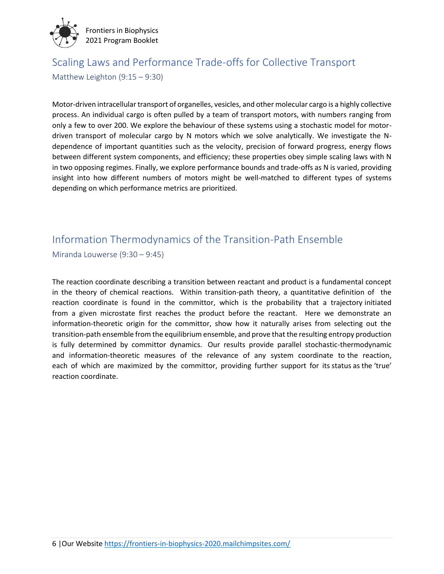

### Scaling Laws and Performance Trade-offs for Collective Transport Matthew Leighton (9:15 – 9:30)

Motor-driven intracellular transport of organelles, vesicles, and other molecular cargo is a highly collective process. An individual cargo is often pulled by a team of transport motors, with numbers ranging from only a few to over 200. We explore the behaviour of these systems using a stochastic model for motordriven transport of molecular cargo by N motors which we solve analytically. We investigate the Ndependence of important quantities such as the velocity, precision of forward progress, energy flows between different system components, and efficiency; these properties obey simple scaling laws with N in two opposing regimes. Finally, we explore performance bounds and trade-offs as N is varied, providing insight into how different numbers of motors might be well-matched to different types of systems depending on which performance metrics are prioritized.

### Information Thermodynamics of the Transition-Path Ensemble

Miranda Louwerse (9:30 – 9:45)

The reaction coordinate describing a transition between reactant and product is a fundamental concept in the theory of chemical reactions. Within transition-path theory, a quantitative definition of the reaction coordinate is found in the committor, which is the probability that a trajectory initiated from a given microstate first reaches the product before the reactant. Here we demonstrate an information-theoretic origin for the committor, show how it naturally arises from selecting out the transition-path ensemble from the equilibrium ensemble, and prove that the resulting entropy production is fully determined by committor dynamics. Our results provide parallel stochastic-thermodynamic and information-theoretic measures of the relevance of any system coordinate to the reaction, each of which are maximized by the committor, providing further support for its status as the 'true' reaction coordinate.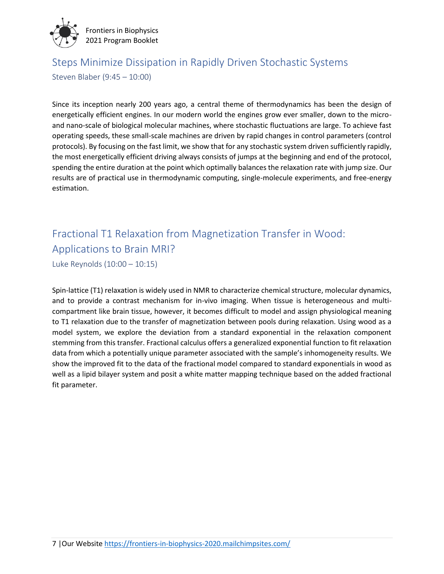

# Steps Minimize Dissipation in Rapidly Driven Stochastic Systems

Steven Blaber (9:45 – 10:00)

Since its inception nearly 200 years ago, a central theme of thermodynamics has been the design of energetically efficient engines. In our modern world the engines grow ever smaller, down to the microand nano-scale of biological molecular machines, where stochastic fluctuations are large. To achieve fast operating speeds, these small-scale machines are driven by rapid changes in control parameters (control protocols). By focusing on the fast limit, we show that for any stochastic system driven sufficiently rapidly, the most energetically efficient driving always consists of jumps at the beginning and end of the protocol, spending the entire duration at the point which optimally balances the relaxation rate with jump size. Our results are of practical use in thermodynamic computing, single-molecule experiments, and free-energy estimation.

# Fractional T1 Relaxation from Magnetization Transfer in Wood: Applications to Brain MRI?

Luke Reynolds (10:00 – 10:15)

Spin-lattice (T1) relaxation is widely used in NMR to characterize chemical structure, molecular dynamics, and to provide a contrast mechanism for in-vivo imaging. When tissue is heterogeneous and multicompartment like brain tissue, however, it becomes difficult to model and assign physiological meaning to T1 relaxation due to the transfer of magnetization between pools during relaxation. Using wood as a model system, we explore the deviation from a standard exponential in the relaxation component stemming from this transfer. Fractional calculus offers a generalized exponential function to fit relaxation data from which a potentially unique parameter associated with the sample's inhomogeneity results. We show the improved fit to the data of the fractional model compared to standard exponentials in wood as well as a lipid bilayer system and posit a white matter mapping technique based on the added fractional fit parameter.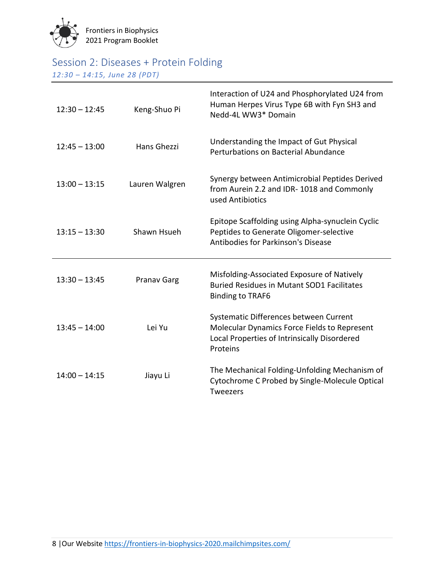

### Session 2: Diseases + Protein Folding

*12:30 – 14:15, June 28 (PDT)*

| $12:30 - 12:45$ | Keng-Shuo Pi   | Interaction of U24 and Phosphorylated U24 from<br>Human Herpes Virus Type 6B with Fyn SH3 and<br>Nedd-4L WW3* Domain                               |
|-----------------|----------------|----------------------------------------------------------------------------------------------------------------------------------------------------|
| $12:45 - 13:00$ | Hans Ghezzi    | Understanding the Impact of Gut Physical<br>Perturbations on Bacterial Abundance                                                                   |
| $13:00 - 13:15$ | Lauren Walgren | Synergy between Antimicrobial Peptides Derived<br>from Aurein 2.2 and IDR-1018 and Commonly<br>used Antibiotics                                    |
| $13:15 - 13:30$ | Shawn Hsueh    | Epitope Scaffolding using Alpha-synuclein Cyclic<br>Peptides to Generate Oligomer-selective<br>Antibodies for Parkinson's Disease                  |
| $13:30 - 13:45$ | Pranav Garg    | Misfolding-Associated Exposure of Natively<br><b>Buried Residues in Mutant SOD1 Facilitates</b><br><b>Binding to TRAF6</b>                         |
| $13:45 - 14:00$ | Lei Yu         | Systematic Differences between Current<br>Molecular Dynamics Force Fields to Represent<br>Local Properties of Intrinsically Disordered<br>Proteins |
| $14:00 - 14:15$ | Jiayu Li       | The Mechanical Folding-Unfolding Mechanism of<br>Cytochrome C Probed by Single-Molecule Optical<br><b>Tweezers</b>                                 |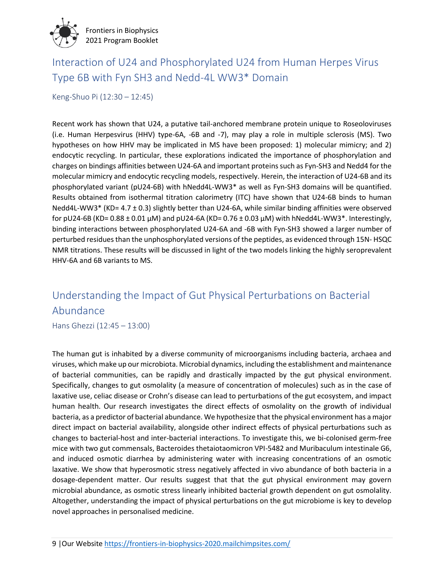

### Interaction of U24 and Phosphorylated U24 from Human Herpes Virus Type 6B with Fyn SH3 and Nedd-4L WW3\* Domain

Keng-Shuo Pi (12:30 – 12:45)

Recent work has shown that U24, a putative tail-anchored membrane protein unique to Roseoloviruses (i.e. Human Herpesvirus (HHV) type-6A, -6B and -7), may play a role in multiple sclerosis (MS). Two hypotheses on how HHV may be implicated in MS have been proposed: 1) molecular mimicry; and 2) endocytic recycling. In particular, these explorations indicated the importance of phosphorylation and charges on bindings affinities between U24-6A and important proteins such as Fyn-SH3 and Nedd4 for the molecular mimicry and endocytic recycling models, respectively. Herein, the interaction of U24-6B and its phosphorylated variant (pU24-6B) with hNedd4L-WW3\* as well as Fyn-SH3 domains will be quantified. Results obtained from isothermal titration calorimetry (ITC) have shown that U24-6B binds to human Nedd4L-WW3\* (KD= 4.7 ± 0.3) slightly better than U24-6A, while similar binding affinities were observed for pU24-6B (KD= 0.88 ± 0.01 μM) and pU24-6A (KD= 0.76 ± 0.03 μM) with hNedd4L-WW3\*. Interestingly, binding interactions between phosphorylated U24-6A and -6B with Fyn-SH3 showed a larger number of perturbed residues than the unphosphorylated versions of the peptides, as evidenced through 15N- HSQC NMR titrations. These results will be discussed in light of the two models linking the highly seroprevalent HHV-6A and 6B variants to MS.

### Understanding the Impact of Gut Physical Perturbations on Bacterial Abundance

Hans Ghezzi (12:45 – 13:00)

The human gut is inhabited by a diverse community of microorganisms including bacteria, archaea and viruses, which make up our microbiota. Microbial dynamics, including the establishment and maintenance of bacterial communities, can be rapidly and drastically impacted by the gut physical environment. Specifically, changes to gut osmolality (a measure of concentration of molecules) such as in the case of laxative use, celiac disease or Crohn's disease can lead to perturbations of the gut ecosystem, and impact human health. Our research investigates the direct effects of osmolality on the growth of individual bacteria, as a predictor of bacterial abundance. We hypothesize that the physical environment has a major direct impact on bacterial availability, alongside other indirect effects of physical perturbations such as changes to bacterial-host and inter-bacterial interactions. To investigate this, we bi-colonised germ-free mice with two gut commensals, Bacteroides thetaiotaomicron VPI-5482 and Muribaculum intestinale G6, and induced osmotic diarrhea by administering water with increasing concentrations of an osmotic laxative. We show that hyperosmotic stress negatively affected in vivo abundance of both bacteria in a dosage-dependent matter. Our results suggest that that the gut physical environment may govern microbial abundance, as osmotic stress linearly inhibited bacterial growth dependent on gut osmolality. Altogether, understanding the impact of physical perturbations on the gut microbiome is key to develop novel approaches in personalised medicine.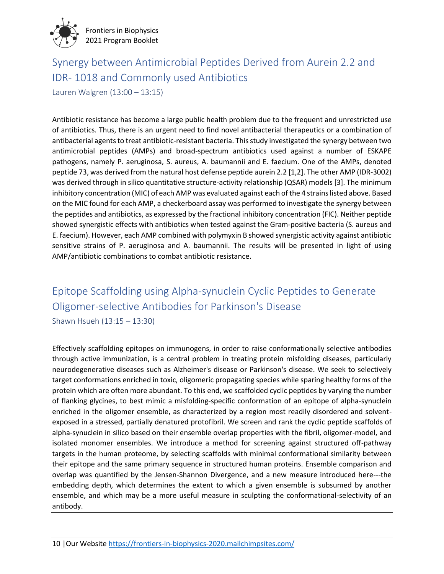

### Synergy between Antimicrobial Peptides Derived from Aurein 2.2 and IDR- 1018 and Commonly used Antibiotics

Lauren Walgren (13:00 – 13:15)

Antibiotic resistance has become a large public health problem due to the frequent and unrestricted use of antibiotics. Thus, there is an urgent need to find novel antibacterial therapeutics or a combination of antibacterial agents to treat antibiotic-resistant bacteria. This study investigated the synergy between two antimicrobial peptides (AMPs) and broad-spectrum antibiotics used against a number of ESKAPE pathogens, namely P. aeruginosa, S. aureus, A. baumannii and E. faecium. One of the AMPs, denoted peptide 73, was derived from the natural host defense peptide aurein 2.2 [1,2]. The other AMP (IDR-3002) was derived through in silico quantitative structure-activity relationship (QSAR) models [3]. The minimum inhibitory concentration (MIC) of each AMP was evaluated against each of the 4 strains listed above. Based on the MIC found for each AMP, a checkerboard assay was performed to investigate the synergy between the peptides and antibiotics, as expressed by the fractional inhibitory concentration (FIC). Neither peptide showed synergistic effects with antibiotics when tested against the Gram-positive bacteria (S. aureus and E. faecium). However, each AMP combined with polymyxin B showed synergistic activity against antibiotic sensitive strains of P. aeruginosa and A. baumannii. The results will be presented in light of using AMP/antibiotic combinations to combat antibiotic resistance.

# Epitope Scaffolding using Alpha-synuclein Cyclic Peptides to Generate Oligomer-selective Antibodies for Parkinson's Disease

Shawn Hsueh (13:15 – 13:30)

Effectively scaffolding epitopes on immunogens, in order to raise conformationally selective antibodies through active immunization, is a central problem in treating protein misfolding diseases, particularly neurodegenerative diseases such as Alzheimer's disease or Parkinson's disease. We seek to selectively target conformations enriched in toxic, oligomeric propagating species while sparing healthy forms of the protein which are often more abundant. To this end, we scaffolded cyclic peptides by varying the number of flanking glycines, to best mimic a misfolding-specific conformation of an epitope of alpha-synuclein enriched in the oligomer ensemble, as characterized by a region most readily disordered and solventexposed in a stressed, partially denatured protofibril. We screen and rank the cyclic peptide scaffolds of alpha-synuclein in silico based on their ensemble overlap properties with the fibril, oligomer-model, and isolated monomer ensembles. We introduce a method for screening against structured off-pathway targets in the human proteome, by selecting scaffolds with minimal conformational similarity between their epitope and the same primary sequence in structured human proteins. Ensemble comparison and overlap was quantified by the Jensen-Shannon Divergence, and a new measure introduced here---the embedding depth, which determines the extent to which a given ensemble is subsumed by another ensemble, and which may be a more useful measure in sculpting the conformational-selectivity of an antibody.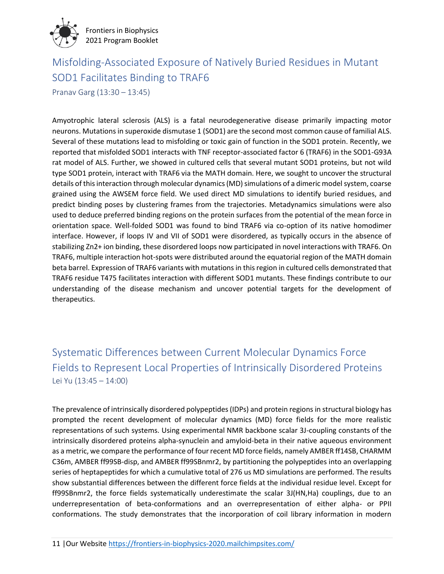

### Misfolding-Associated Exposure of Natively Buried Residues in Mutant SOD1 Facilitates Binding to TRAF6

Pranav Garg (13:30 – 13:45)

Amyotrophic lateral sclerosis (ALS) is a fatal neurodegenerative disease primarily impacting motor neurons. Mutations in superoxide dismutase 1 (SOD1) are the second most common cause of familial ALS. Several of these mutations lead to misfolding or toxic gain of function in the SOD1 protein. Recently, we reported that misfolded SOD1 interacts with TNF receptor-associated factor 6 (TRAF6) in the SOD1-G93A rat model of ALS. Further, we showed in cultured cells that several mutant SOD1 proteins, but not wild type SOD1 protein, interact with TRAF6 via the MATH domain. Here, we sought to uncover the structural details of this interaction through molecular dynamics (MD) simulations of a dimeric model system, coarse grained using the AWSEM force field. We used direct MD simulations to identify buried residues, and predict binding poses by clustering frames from the trajectories. Metadynamics simulations were also used to deduce preferred binding regions on the protein surfaces from the potential of the mean force in orientation space. Well-folded SOD1 was found to bind TRAF6 via co-option of its native homodimer interface. However, if loops IV and VII of SOD1 were disordered, as typically occurs in the absence of stabilizing Zn2+ ion binding, these disordered loops now participated in novel interactions with TRAF6. On TRAF6, multiple interaction hot-spots were distributed around the equatorial region of the MATH domain beta barrel. Expression of TRAF6 variants with mutations in this region in cultured cells demonstrated that TRAF6 residue T475 facilitates interaction with different SOD1 mutants. These findings contribute to our understanding of the disease mechanism and uncover potential targets for the development of therapeutics.

Systematic Differences between Current Molecular Dynamics Force Fields to Represent Local Properties of Intrinsically Disordered Proteins Lei Yu (13:45 – 14:00)

The prevalence of intrinsically disordered polypeptides (IDPs) and protein regions in structural biology has prompted the recent development of molecular dynamics (MD) force fields for the more realistic representations of such systems. Using experimental NMR backbone scalar 3J-coupling constants of the intrinsically disordered proteins alpha-synuclein and amyloid-beta in their native aqueous environment as a metric, we compare the performance of four recent MD force fields, namely AMBER ff14SB, CHARMM C36m, AMBER ff99SB-disp, and AMBER ff99SBnmr2, by partitioning the polypeptides into an overlapping series of heptapeptides for which a cumulative total of 276 us MD simulations are performed. The results show substantial differences between the different force fields at the individual residue level. Except for ff99SBnmr2, the force fields systematically underestimate the scalar 3J(HN,Ha) couplings, due to an underrepresentation of beta-conformations and an overrepresentation of either alpha- or PPII conformations. The study demonstrates that the incorporation of coil library information in modern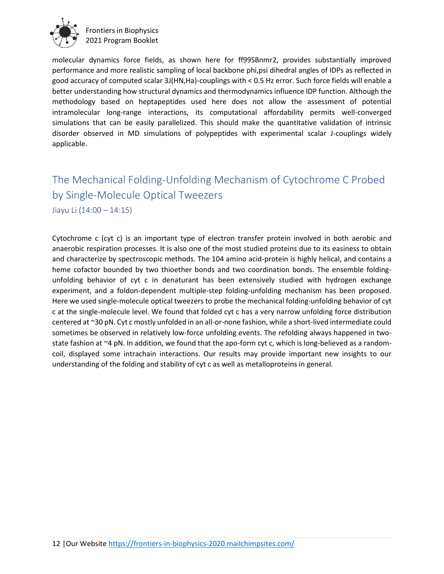

molecular dynamics force fields, as shown here for ff99SBnmr2, provides substantially improved performance and more realistic sampling of local backbone phi,psi dihedral angles of IDPs as reflected in good accuracy of computed scalar 3J(HN,Ha)-couplings with < 0.5 Hz error. Such force fields will enable a better understanding how structural dynamics and thermodynamics influence IDP function. Although the methodology based on heptapeptides used here does not allow the assessment of potential intramolecular long-range interactions, its computational affordability permits well-converged simulations that can be easily parallelized. This should make the quantitative validation of intrinsic disorder observed in MD simulations of polypeptides with experimental scalar J-couplings widely applicable.

### The Mechanical Folding-Unfolding Mechanism of Cytochrome C Probed by Single-Molecule Optical Tweezers

Jiayu Li (14:00 – 14:15)

Cytochrome c (cyt c) is an important type of electron transfer protein involved in both aerobic and anaerobic respiration processes. It is also one of the most studied proteins due to its easiness to obtain and characterize by spectroscopic methods. The 104 amino acid-protein is highly helical, and contains a heme cofactor bounded by two thioether bonds and two coordination bonds. The ensemble foldingunfolding behavior of cyt c in denaturant has been extensively studied with hydrogen exchange experiment, and a foldon-dependent multiple-step folding-unfolding mechanism has been proposed. Here we used single-molecule optical tweezers to probe the mechanical folding-unfolding behavior of cyt c at the single-molecule level. We found that folded cyt c has a very narrow unfolding force distribution centered at ~30 pN. Cyt c mostly unfolded in an all-or-none fashion, while a short-lived intermediate could sometimes be observed in relatively low-force unfolding events. The refolding always happened in twostate fashion at ~4 pN. In addition, we found that the apo-form cyt c, which is long-believed as a randomcoil, displayed some intrachain interactions. Our results may provide important new insights to our understanding of the folding and stability of cyt c as well as metalloproteins in general.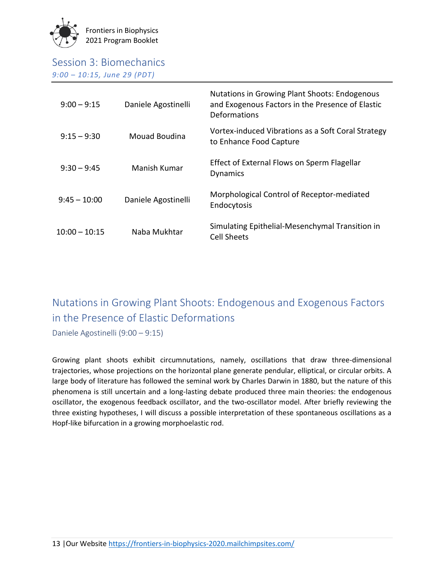

| $9:00 - 9:15$   | Daniele Agostinelli | <b>Nutations in Growing Plant Shoots: Endogenous</b><br>and Exogenous Factors in the Presence of Elastic<br>Deformations |
|-----------------|---------------------|--------------------------------------------------------------------------------------------------------------------------|
| $9:15 - 9:30$   | Mouad Boudina       | Vortex-induced Vibrations as a Soft Coral Strategy<br>to Enhance Food Capture                                            |
| $9:30 - 9:45$   | Manish Kumar        | Effect of External Flows on Sperm Flagellar<br><b>Dynamics</b>                                                           |
| $9:45 - 10:00$  | Daniele Agostinelli | Morphological Control of Receptor-mediated<br>Endocytosis                                                                |
| $10:00 - 10:15$ | Naba Mukhtar        | Simulating Epithelial-Mesenchymal Transition in<br><b>Cell Sheets</b>                                                    |

### Nutations in Growing Plant Shoots: Endogenous and Exogenous Factors in the Presence of Elastic Deformations

Daniele Agostinelli (9:00 – 9:15)

Growing plant shoots exhibit circumnutations, namely, oscillations that draw three-dimensional trajectories, whose projections on the horizontal plane generate pendular, elliptical, or circular orbits. A large body of literature has followed the seminal work by Charles Darwin in 1880, but the nature of this phenomena is still uncertain and a long-lasting debate produced three main theories: the endogenous oscillator, the exogenous feedback oscillator, and the two-oscillator model. After briefly reviewing the three existing hypotheses, I will discuss a possible interpretation of these spontaneous oscillations as a Hopf-like bifurcation in a growing morphoelastic rod.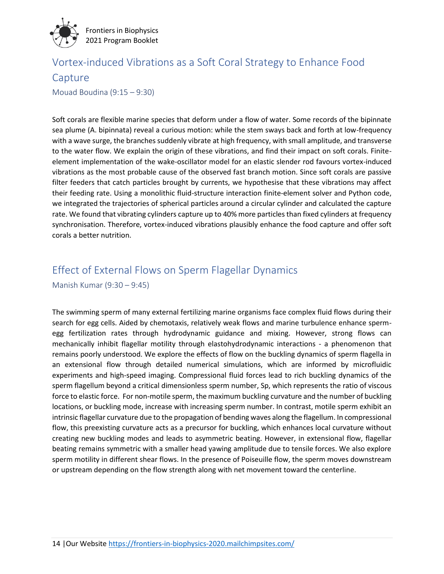

### Vortex-induced Vibrations as a Soft Coral Strategy to Enhance Food Capture Mouad Boudina (9:15 – 9:30)

Soft corals are flexible marine species that deform under a flow of water. Some records of the bipinnate sea plume (A. bipinnata) reveal a curious motion: while the stem sways back and forth at low-frequency with a wave surge, the branches suddenly vibrate at high frequency, with small amplitude, and transverse to the water flow. We explain the origin of these vibrations, and find their impact on soft corals. Finiteelement implementation of the wake-oscillator model for an elastic slender rod favours vortex-induced vibrations as the most probable cause of the observed fast branch motion. Since soft corals are passive filter feeders that catch particles brought by currents, we hypothesise that these vibrations may affect their feeding rate. Using a monolithic fluid-structure interaction finite-element solver and Python code, we integrated the trajectories of spherical particles around a circular cylinder and calculated the capture rate. We found that vibrating cylinders capture up to 40% more particles than fixed cylinders at frequency synchronisation. Therefore, vortex-induced vibrations plausibly enhance the food capture and offer soft corals a better nutrition.

## Effect of External Flows on Sperm Flagellar Dynamics

Manish Kumar (9:30 – 9:45)

The swimming sperm of many external fertilizing marine organisms face complex fluid flows during their search for egg cells. Aided by chemotaxis, relatively weak flows and marine turbulence enhance spermegg fertilization rates through hydrodynamic guidance and mixing. However, strong flows can mechanically inhibit flagellar motility through elastohydrodynamic interactions - a phenomenon that remains poorly understood. We explore the effects of flow on the buckling dynamics of sperm flagella in an extensional flow through detailed numerical simulations, which are informed by microfluidic experiments and high-speed imaging. Compressional fluid forces lead to rich buckling dynamics of the sperm flagellum beyond a critical dimensionless sperm number, Sp, which represents the ratio of viscous force to elastic force. For non-motile sperm, the maximum buckling curvature and the number of buckling locations, or buckling mode, increase with increasing sperm number. In contrast, motile sperm exhibit an intrinsic flagellar curvature due to the propagation of bending waves along the flagellum. In compressional flow, this preexisting curvature acts as a precursor for buckling, which enhances local curvature without creating new buckling modes and leads to asymmetric beating. However, in extensional flow, flagellar beating remains symmetric with a smaller head yawing amplitude due to tensile forces. We also explore sperm motility in different shear flows. In the presence of Poiseuille flow, the sperm moves downstream or upstream depending on the flow strength along with net movement toward the centerline.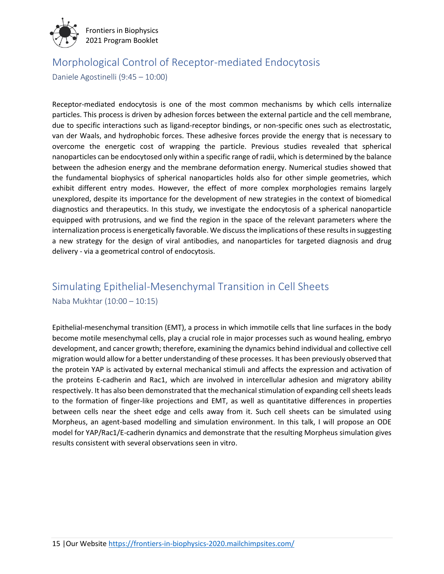

### Morphological Control of Receptor-mediated Endocytosis

Daniele Agostinelli (9:45 – 10:00)

Receptor-mediated endocytosis is one of the most common mechanisms by which cells internalize particles. This process is driven by adhesion forces between the external particle and the cell membrane, due to specific interactions such as ligand-receptor bindings, or non-specific ones such as electrostatic, van der Waals, and hydrophobic forces. These adhesive forces provide the energy that is necessary to overcome the energetic cost of wrapping the particle. Previous studies revealed that spherical nanoparticles can be endocytosed only within a specific range of radii, which is determined by the balance between the adhesion energy and the membrane deformation energy. Numerical studies showed that the fundamental biophysics of spherical nanoparticles holds also for other simple geometries, which exhibit different entry modes. However, the effect of more complex morphologies remains largely unexplored, despite its importance for the development of new strategies in the context of biomedical diagnostics and therapeutics. In this study, we investigate the endocytosis of a spherical nanoparticle equipped with protrusions, and we find the region in the space of the relevant parameters where the internalization process is energetically favorable. We discuss the implications of these results in suggesting a new strategy for the design of viral antibodies, and nanoparticles for targeted diagnosis and drug delivery - via a geometrical control of endocytosis.

### Simulating Epithelial-Mesenchymal Transition in Cell Sheets Naba Mukhtar (10:00 – 10:15)

Epithelial-mesenchymal transition (EMT), a process in which immotile cells that line surfaces in the body become motile mesenchymal cells, play a crucial role in major processes such as wound healing, embryo development, and cancer growth; therefore, examining the dynamics behind individual and collective cell migration would allow for a better understanding of these processes. It has been previously observed that the protein YAP is activated by external mechanical stimuli and affects the expression and activation of the proteins E-cadherin and Rac1, which are involved in intercellular adhesion and migratory ability respectively. It has also been demonstrated that the mechanical stimulation of expanding cell sheets leads to the formation of finger-like projections and EMT, as well as quantitative differences in properties between cells near the sheet edge and cells away from it. Such cell sheets can be simulated using Morpheus, an agent-based modelling and simulation environment. In this talk, I will propose an ODE model for YAP/Rac1/E-cadherin dynamics and demonstrate that the resulting Morpheus simulation gives results consistent with several observations seen in vitro.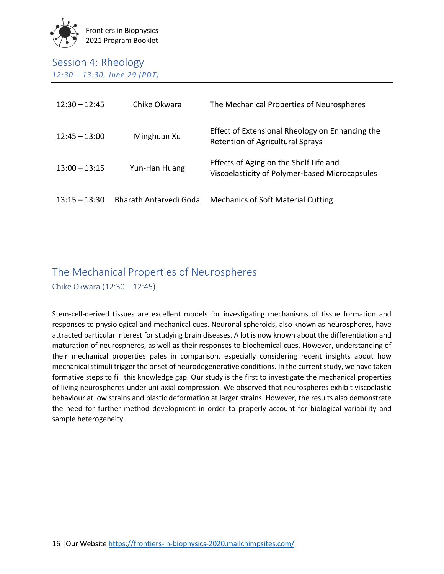

### Session 4: Rheology *12:30 – 13:30, June 29 (PDT)*

| $12:30 - 12:45$ | Chike Okwara           | The Mechanical Properties of Neurospheres                                                  |
|-----------------|------------------------|--------------------------------------------------------------------------------------------|
| $12:45 - 13:00$ | Minghuan Xu            | Effect of Extensional Rheology on Enhancing the<br><b>Retention of Agricultural Sprays</b> |
| $13:00 - 13:15$ | Yun-Han Huang          | Effects of Aging on the Shelf Life and<br>Viscoelasticity of Polymer-based Microcapsules   |
| $13:15 - 13:30$ | Bharath Antarvedi Goda | <b>Mechanics of Soft Material Cutting</b>                                                  |

# The Mechanical Properties of Neurospheres

Chike Okwara (12:30 – 12:45)

Stem-cell-derived tissues are excellent models for investigating mechanisms of tissue formation and responses to physiological and mechanical cues. Neuronal spheroids, also known as neurospheres, have attracted particular interest for studying brain diseases. A lot is now known about the differentiation and maturation of neurospheres, as well as their responses to biochemical cues. However, understanding of their mechanical properties pales in comparison, especially considering recent insights about how mechanical stimuli trigger the onset of neurodegenerative conditions. In the current study, we have taken formative steps to fill this knowledge gap. Our study is the first to investigate the mechanical properties of living neurospheres under uni-axial compression. We observed that neurospheres exhibit viscoelastic behaviour at low strains and plastic deformation at larger strains. However, the results also demonstrate the need for further method development in order to properly account for biological variability and sample heterogeneity.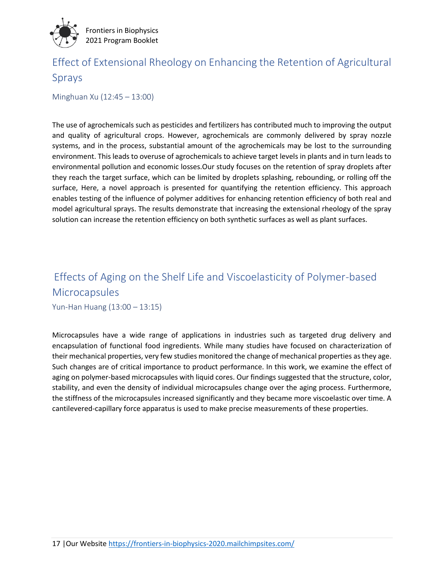

### Effect of Extensional Rheology on Enhancing the Retention of Agricultural Sprays

Minghuan Xu (12:45 – 13:00)

The use of agrochemicals such as pesticides and fertilizers has contributed much to improving the output and quality of agricultural crops. However, agrochemicals are commonly delivered by spray nozzle systems, and in the process, substantial amount of the agrochemicals may be lost to the surrounding environment. This leads to overuse of agrochemicals to achieve target levels in plants and in turn leads to environmental pollution and economic losses.Our study focuses on the retention of spray droplets after they reach the target surface, which can be limited by droplets splashing, rebounding, or rolling off the surface, Here, a novel approach is presented for quantifying the retention efficiency. This approach enables testing of the influence of polymer additives for enhancing retention efficiency of both real and model agricultural sprays. The results demonstrate that increasing the extensional rheology of the spray solution can increase the retention efficiency on both synthetic surfaces as well as plant surfaces.

### Effects of Aging on the Shelf Life and Viscoelasticity of Polymer-based **Microcapsules**

Yun-Han Huang (13:00 – 13:15)

Microcapsules have a wide range of applications in industries such as targeted drug delivery and encapsulation of functional food ingredients. While many studies have focused on characterization of their mechanical properties, very few studies monitored the change of mechanical properties as they age. Such changes are of critical importance to product performance. In this work, we examine the effect of aging on polymer-based microcapsules with liquid cores. Our findings suggested that the structure, color, stability, and even the density of individual microcapsules change over the aging process. Furthermore, the stiffness of the microcapsules increased significantly and they became more viscoelastic over time. A cantilevered-capillary force apparatus is used to make precise measurements of these properties.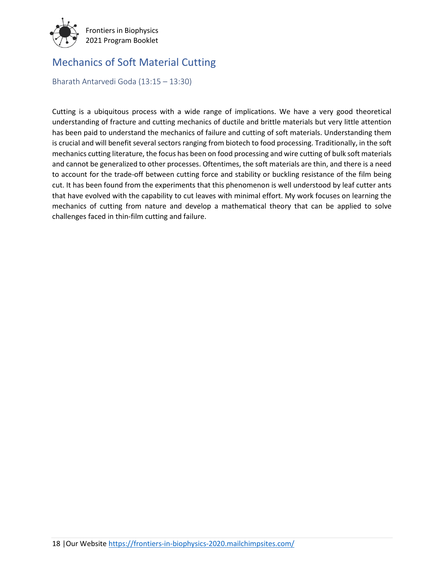

### Mechanics of Soft Material Cutting

Bharath Antarvedi Goda (13:15 – 13:30)

Cutting is a ubiquitous process with a wide range of implications. We have a very good theoretical understanding of fracture and cutting mechanics of ductile and brittle materials but very little attention has been paid to understand the mechanics of failure and cutting of soft materials. Understanding them is crucial and will benefit several sectors ranging from biotech to food processing. Traditionally, in the soft mechanics cutting literature, the focus has been on food processing and wire cutting of bulk soft materials and cannot be generalized to other processes. Oftentimes, the soft materials are thin, and there is a need to account for the trade-off between cutting force and stability or buckling resistance of the film being cut. It has been found from the experiments that this phenomenon is well understood by leaf cutter ants that have evolved with the capability to cut leaves with minimal effort. My work focuses on learning the mechanics of cutting from nature and develop a mathematical theory that can be applied to solve challenges faced in thin-film cutting and failure.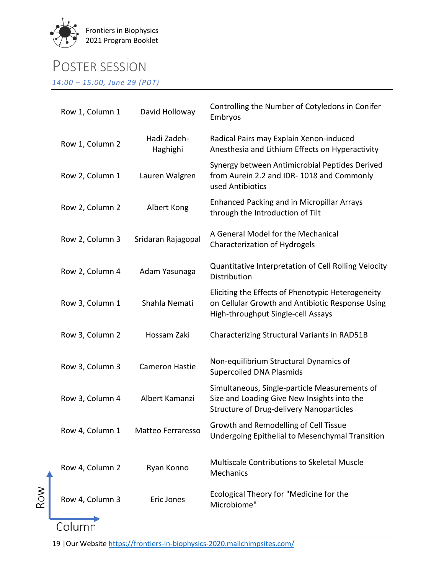

### POSTER SESSION

*14:00 – 15:00, June 29 (PDT)*

| Row 1, Column 1 | David Holloway          | Controlling the Number of Cotyledons in Conifer<br>Embryos                                                                                      |
|-----------------|-------------------------|-------------------------------------------------------------------------------------------------------------------------------------------------|
| Row 1, Column 2 | Hadi Zadeh-<br>Haghighi | Radical Pairs may Explain Xenon-induced<br>Anesthesia and Lithium Effects on Hyperactivity                                                      |
| Row 2, Column 1 | Lauren Walgren          | Synergy between Antimicrobial Peptides Derived<br>from Aurein 2.2 and IDR-1018 and Commonly<br>used Antibiotics                                 |
| Row 2, Column 2 | Albert Kong             | <b>Enhanced Packing and in Micropillar Arrays</b><br>through the Introduction of Tilt                                                           |
| Row 2, Column 3 | Sridaran Rajagopal      | A General Model for the Mechanical<br>Characterization of Hydrogels                                                                             |
| Row 2, Column 4 | Adam Yasunaga           | Quantitative Interpretation of Cell Rolling Velocity<br>Distribution                                                                            |
| Row 3, Column 1 | Shahla Nemati           | Eliciting the Effects of Phenotypic Heterogeneity<br>on Cellular Growth and Antibiotic Response Using<br>High-throughput Single-cell Assays     |
| Row 3, Column 2 | Hossam Zaki             | Characterizing Structural Variants in RAD51B                                                                                                    |
| Row 3, Column 3 | <b>Cameron Hastie</b>   | Non-equilibrium Structural Dynamics of<br><b>Supercoiled DNA Plasmids</b>                                                                       |
| Row 3, Column 4 | Albert Kamanzi          | Simultaneous, Single-particle Measurements of<br>Size and Loading Give New Insights into the<br><b>Structure of Drug-delivery Nanoparticles</b> |
| Row 4, Column 1 | Matteo Ferraresso       | Growth and Remodelling of Cell Tissue<br>Undergoing Epithelial to Mesenchymal Transition                                                        |
| Row 4, Column 2 | Ryan Konno              | <b>Multiscale Contributions to Skeletal Muscle</b><br>Mechanics                                                                                 |
| Row 4, Column 3 | Eric Jones              | Ecological Theory for "Medicine for the<br>Microbiome"                                                                                          |
| Column          |                         |                                                                                                                                                 |

19 |Our Websit[e https://frontiers-in-biophysics-2020.mailchimpsites.com/](https://frontiers-in-biophysics-2020.mailchimpsites.com/)

Row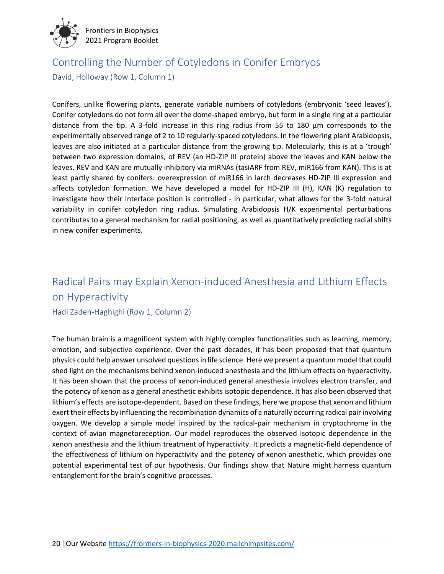

### Controlling the Number of Cotyledons in Conifer Embryos

David, Holloway (Row 1, Column 1)

Conifers, unlike flowering plants, generate variable numbers of cotyledons (embryonic 'seed leaves'). Conifer cotyledons do not form all over the dome-shaped embryo, but form in a single ring at a particular distance from the tip. A 3-fold increase in this ring radius from 55 to 180 µm corresponds to the experimentally observed range of 2 to 10 regularly-spaced cotyledons. In the flowering plant Arabidopsis, leaves are also initiated at a particular distance from the growing tip. Molecularly, this is at a 'trough' between two expression domains, of REV (an HD-ZIP III protein) above the leaves and KAN below the leaves. REV and KAN are mutually inhibitory via miRNAs (tasiARF from REV, miR166 from KAN). This is at least partly shared by conifers: overexpression of miR166 in larch decreases HD-ZIP III expression and affects cotyledon formation. We have developed a model for HD-ZIP III (H), KAN (K) regulation to investigate how their interface position is controlled - in particular, what allows for the 3-fold natural variability in conifer cotyledon ring radius. Simulating Arabidopsis H/K experimental perturbations contributes to a general mechanism for radial positioning, as well as quantitatively predicting radial shifts in new conifer experiments.

### Radical Pairs may Explain Xenon-induced Anesthesia and Lithium Effects on Hyperactivity

Hadi Zadeh-Haghighi (Row 1, Column 2)

The human brain is a magnificent system with highly complex functionalities such as learning, memory, emotion, and subjective experience. Over the past decades, it has been proposed that that quantum physics could help answer unsolved questions in life science. Here we present a quantum model that could shed light on the mechanisms behind xenon-induced anesthesia and the lithium effects on hyperactivity. It has been shown that the process of xenon-induced general anesthesia involves electron transfer, and the potency of xenon as a general anesthetic exhibits isotopic dependence. It has also been observed that lithium's effects are isotope-dependent. Based on these findings, here we propose that xenon and lithium exert their effects by influencing the recombination dynamics of a naturally occurring radical pair involving oxygen. We develop a simple model inspired by the radical-pair mechanism in cryptochrome in the context of avian magnetoreception. Our model reproduces the observed isotopic dependence in the xenon anesthesia and the lithium treatment of hyperactivity. It predicts a magnetic-field dependence of the effectiveness of lithium on hyperactivity and the potency of xenon anesthetic, which provides one potential experimental test of our hypothesis. Our findings show that Nature might harness quantum entanglement for the brain's cognitive processes.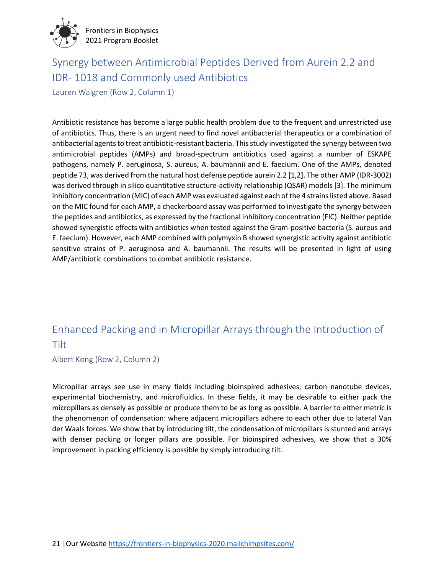

### Synergy between Antimicrobial Peptides Derived from Aurein 2.2 and IDR- 1018 and Commonly used Antibiotics

Lauren Walgren (Row 2, Column 1)

Antibiotic resistance has become a large public health problem due to the frequent and unrestricted use of antibiotics. Thus, there is an urgent need to find novel antibacterial therapeutics or a combination of antibacterial agents to treat antibiotic-resistant bacteria. This study investigated the synergy between two antimicrobial peptides (AMPs) and broad-spectrum antibiotics used against a number of ESKAPE pathogens, namely P. aeruginosa, S. aureus, A. baumannii and E. faecium. One of the AMPs, denoted peptide 73, was derived from the natural host defense peptide aurein 2.2 [1,2]. The other AMP (IDR-3002) was derived through in silico quantitative structure-activity relationship (QSAR) models [3]. The minimum inhibitory concentration (MIC) of each AMP was evaluated against each of the 4 strains listed above. Based on the MIC found for each AMP, a checkerboard assay was performed to investigate the synergy between the peptides and antibiotics, as expressed by the fractional inhibitory concentration (FIC). Neither peptide showed synergistic effects with antibiotics when tested against the Gram-positive bacteria (S. aureus and E. faecium). However, each AMP combined with polymyxin B showed synergistic activity against antibiotic sensitive strains of P. aeruginosa and A. baumannii. The results will be presented in light of using AMP/antibiotic combinations to combat antibiotic resistance.

### Enhanced Packing and in Micropillar Arrays through the Introduction of Tilt

Albert Kong (Row 2, Column 2)

Micropillar arrays see use in many fields including bioinspired adhesives, carbon nanotube devices, experimental biochemistry, and microfluidics. In these fields, it may be desirable to either pack the micropillars as densely as possible or produce them to be as long as possible. A barrier to either metric is the phenomenon of condensation: where adjacent micropillars adhere to each other due to lateral Van der Waals forces. We show that by introducing tilt, the condensation of micropillars is stunted and arrays with denser packing or longer pillars are possible. For bioinspired adhesives, we show that a 30% improvement in packing efficiency is possible by simply introducing tilt.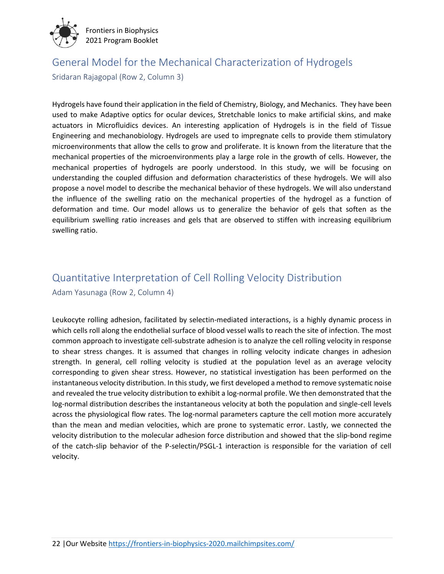

# General Model for the Mechanical Characterization of Hydrogels

Sridaran Rajagopal (Row 2, Column 3)

Hydrogels have found their application in the field of Chemistry, Biology, and Mechanics. They have been used to make Adaptive optics for ocular devices, Stretchable Ionics to make artificial skins, and make actuators in Microfluidics devices. An interesting application of Hydrogels is in the field of Tissue Engineering and mechanobiology. Hydrogels are used to impregnate cells to provide them stimulatory microenvironments that allow the cells to grow and proliferate. It is known from the literature that the mechanical properties of the microenvironments play a large role in the growth of cells. However, the mechanical properties of hydrogels are poorly understood. In this study, we will be focusing on understanding the coupled diffusion and deformation characteristics of these hydrogels. We will also propose a novel model to describe the mechanical behavior of these hydrogels. We will also understand the influence of the swelling ratio on the mechanical properties of the hydrogel as a function of deformation and time. Our model allows us to generalize the behavior of gels that soften as the equilibrium swelling ratio increases and gels that are observed to stiffen with increasing equilibrium swelling ratio.

### Quantitative Interpretation of Cell Rolling Velocity Distribution Adam Yasunaga (Row 2, Column 4)

Leukocyte rolling adhesion, facilitated by selectin-mediated interactions, is a highly dynamic process in which cells roll along the endothelial surface of blood vessel walls to reach the site of infection. The most common approach to investigate cell-substrate adhesion is to analyze the cell rolling velocity in response to shear stress changes. It is assumed that changes in rolling velocity indicate changes in adhesion strength. In general, cell rolling velocity is studied at the population level as an average velocity corresponding to given shear stress. However, no statistical investigation has been performed on the instantaneous velocity distribution. In this study, we first developed a method to remove systematic noise and revealed the true velocity distribution to exhibit a log-normal profile. We then demonstrated that the log-normal distribution describes the instantaneous velocity at both the population and single-cell levels across the physiological flow rates. The log-normal parameters capture the cell motion more accurately than the mean and median velocities, which are prone to systematic error. Lastly, we connected the velocity distribution to the molecular adhesion force distribution and showed that the slip-bond regime of the catch-slip behavior of the P-selectin/PSGL-1 interaction is responsible for the variation of cell velocity.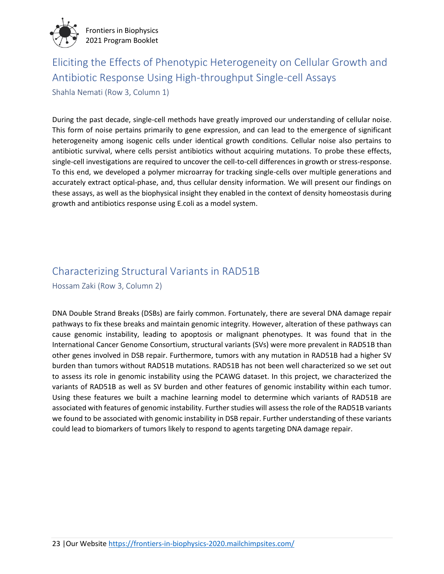

### Eliciting the Effects of Phenotypic Heterogeneity on Cellular Growth and Antibiotic Response Using High-throughput Single-cell Assays

Shahla Nemati (Row 3, Column 1)

During the past decade, single-cell methods have greatly improved our understanding of cellular noise. This form of noise pertains primarily to gene expression, and can lead to the emergence of significant heterogeneity among isogenic cells under identical growth conditions. Cellular noise also pertains to antibiotic survival, where cells persist antibiotics without acquiring mutations. To probe these effects, single-cell investigations are required to uncover the cell-to-cell differences in growth or stress-response. To this end, we developed a polymer microarray for tracking single-cells over multiple generations and accurately extract optical-phase, and, thus cellular density information. We will present our findings on these assays, as well as the biophysical insight they enabled in the context of density homeostasis during growth and antibiotics response using E.coli as a model system.

### Characterizing Structural Variants in RAD51B

Hossam Zaki (Row 3, Column 2)

DNA Double Strand Breaks (DSBs) are fairly common. Fortunately, there are several DNA damage repair pathways to fix these breaks and maintain genomic integrity. However, alteration of these pathways can cause genomic instability, leading to apoptosis or malignant phenotypes. It was found that in the International Cancer Genome Consortium, structural variants (SVs) were more prevalent in RAD51B than other genes involved in DSB repair. Furthermore, tumors with any mutation in RAD51B had a higher SV burden than tumors without RAD51B mutations. RAD51B has not been well characterized so we set out to assess its role in genomic instability using the PCAWG dataset. In this project, we characterized the variants of RAD51B as well as SV burden and other features of genomic instability within each tumor. Using these features we built a machine learning model to determine which variants of RAD51B are associated with features of genomic instability. Further studies will assess the role of the RAD51B variants we found to be associated with genomic instability in DSB repair. Further understanding of these variants could lead to biomarkers of tumors likely to respond to agents targeting DNA damage repair.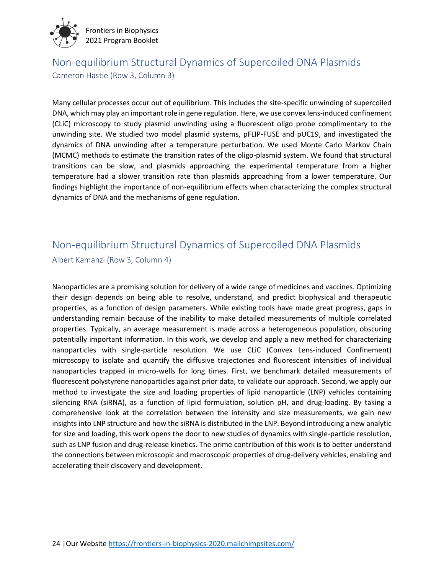

### Non-equilibrium Structural Dynamics of Supercoiled DNA Plasmids Cameron Hastie (Row 3, Column 3)

Many cellular processes occur out of equilibrium. This includes the site-specific unwinding of supercoiled DNA, which may play an important role in gene regulation. Here, we use convex lens-induced confinement (CLiC) microscopy to study plasmid unwinding using a fluorescent oligo probe complimentary to the unwinding site. We studied two model plasmid systems, pFLIP-FUSE and pUC19, and investigated the dynamics of DNA unwinding after a temperature perturbation. We used Monte Carlo Markov Chain (MCMC) methods to estimate the transition rates of the oligo-plasmid system. We found that structural transitions can be slow, and plasmids approaching the experimental temperature from a higher temperature had a slower transition rate than plasmids approaching from a lower temperature. Our findings highlight the importance of non-equilibrium effects when characterizing the complex structural dynamics of DNA and the mechanisms of gene regulation.

### Non-equilibrium Structural Dynamics of Supercoiled DNA Plasmids

Albert Kamanzi (Row 3, Column 4)

Nanoparticles are a promising solution for delivery of a wide range of medicines and vaccines. Optimizing their design depends on being able to resolve, understand, and predict biophysical and therapeutic properties, as a function of design parameters. While existing tools have made great progress, gaps in understanding remain because of the inability to make detailed measurements of multiple correlated properties. Typically, an average measurement is made across a heterogeneous population, obscuring potentially important information. In this work, we develop and apply a new method for characterizing nanoparticles with single-particle resolution. We use CLiC (Convex Lens-induced Confinement) microscopy to isolate and quantify the diffusive trajectories and fluorescent intensities of individual nanoparticles trapped in micro-wells for long times. First, we benchmark detailed measurements of fluorescent polystyrene nanoparticles against prior data, to validate our approach. Second, we apply our method to investigate the size and loading properties of lipid nanoparticle (LNP) vehicles containing silencing RNA (siRNA), as a function of lipid formulation, solution pH, and drug-loading. By taking a comprehensive look at the correlation between the intensity and size measurements, we gain new insights into LNP structure and how the siRNA is distributed in the LNP. Beyond introducing a new analytic for size and loading, this work opens the door to new studies of dynamics with single-particle resolution, such as LNP fusion and drug-release kinetics. The prime contribution of this work is to better understand the connections between microscopic and macroscopic properties of drug-delivery vehicles, enabling and accelerating their discovery and development.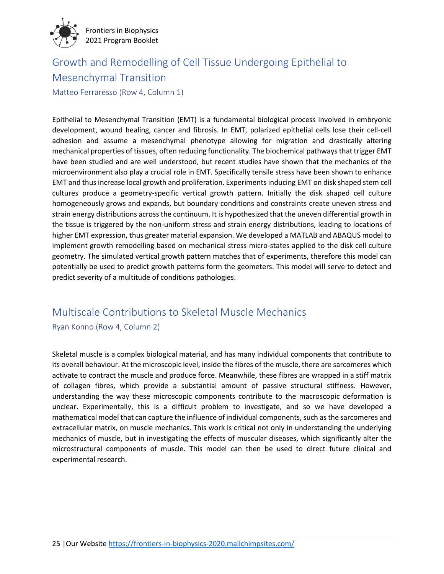

### Growth and Remodelling of Cell Tissue Undergoing Epithelial to Mesenchymal Transition

Matteo Ferraresso (Row 4, Column 1)

Epithelial to Mesenchymal Transition (EMT) is a fundamental biological process involved in embryonic development, wound healing, cancer and fibrosis. In EMT, polarized epithelial cells lose their cell-cell adhesion and assume a mesenchymal phenotype allowing for migration and drastically altering mechanical properties of tissues, often reducing functionality. The biochemical pathways that trigger EMT have been studied and are well understood, but recent studies have shown that the mechanics of the microenvironment also play a crucial role in EMT. Specifically tensile stress have been shown to enhance EMT and thus increase local growth and proliferation. Experiments inducing EMT on disk shaped stem cell cultures produce a geometry-specific vertical growth pattern. Initially the disk shaped cell culture homogeneously grows and expands, but boundary conditions and constraints create uneven stress and strain energy distributions across the continuum. It is hypothesized that the uneven differential growth in the tissue is triggered by the non-uniform stress and strain energy distributions, leading to locations of higher EMT expression, thus greater material expansion. We developed a MATLAB and ABAQUS model to implement growth remodelling based on mechanical stress micro-states applied to the disk cell culture geometry. The simulated vertical growth pattern matches that of experiments, therefore this model can potentially be used to predict growth patterns form the geometers. This model will serve to detect and predict severity of a multitude of conditions pathologies.

### Multiscale Contributions to Skeletal Muscle Mechanics

Ryan Konno (Row 4, Column 2)

Skeletal muscle is a complex biological material, and has many individual components that contribute to its overall behaviour. At the microscopic level, inside the fibres of the muscle, there are sarcomeres which activate to contract the muscle and produce force. Meanwhile, these fibres are wrapped in a stiff matrix of collagen fibres, which provide a substantial amount of passive structural stiffness. However, understanding the way these microscopic components contribute to the macroscopic deformation is unclear. Experimentally, this is a difficult problem to investigate, and so we have developed a mathematical model that can capture the influence of individual components, such as the sarcomeres and extracellular matrix, on muscle mechanics. This work is critical not only in understanding the underlying mechanics of muscle, but in investigating the effects of muscular diseases, which significantly alter the microstructural components of muscle. This model can then be used to direct future clinical and experimental research.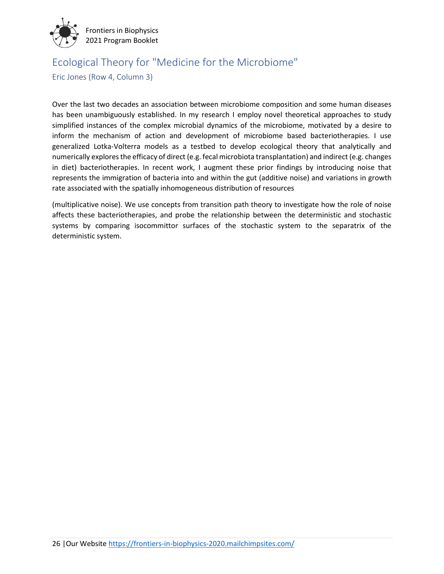

### Ecological Theory for "Medicine for the Microbiome"

Eric Jones (Row 4, Column 3)

Over the last two decades an association between microbiome composition and some human diseases has been unambiguously established. In my research I employ novel theoretical approaches to study simplified instances of the complex microbial dynamics of the microbiome, motivated by a desire to inform the mechanism of action and development of microbiome based bacteriotherapies. I use generalized Lotka-Volterra models as a testbed to develop ecological theory that analytically and numerically explores the efficacy of direct (e.g. fecal microbiota transplantation) and indirect (e.g. changes in diet) bacteriotherapies. In recent work, I augment these prior findings by introducing noise that represents the immigration of bacteria into and within the gut (additive noise) and variations in growth rate associated with the spatially inhomogeneous distribution of resources

(multiplicative noise). We use concepts from transition path theory to investigate how the role of noise affects these bacteriotherapies, and probe the relationship between the deterministic and stochastic systems by comparing isocommittor surfaces of the stochastic system to the separatrix of the deterministic system.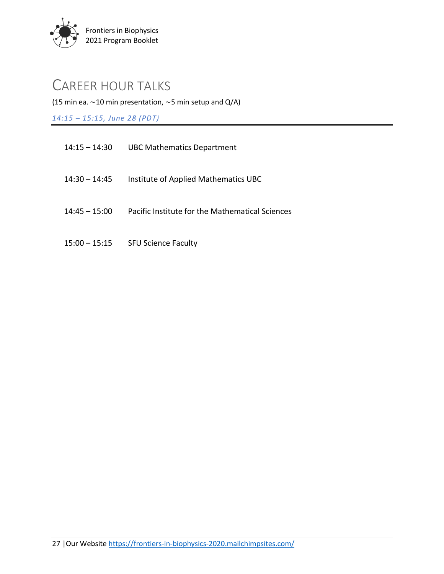

### CAREER HOUR TALKS

(15 min ea.  $\sim$ 10 min presentation,  $\sim$ 5 min setup and Q/A)

*14:15 – 15:15, June 28 (PDT)*

| $14:15 - 14:30$ | <b>UBC Mathematics Department</b>               |
|-----------------|-------------------------------------------------|
| 14:30 – 14:45   | Institute of Applied Mathematics UBC            |
| $14:45 - 15:00$ | Pacific Institute for the Mathematical Sciences |
| 15:00 – 15:15   | <b>SFU Science Faculty</b>                      |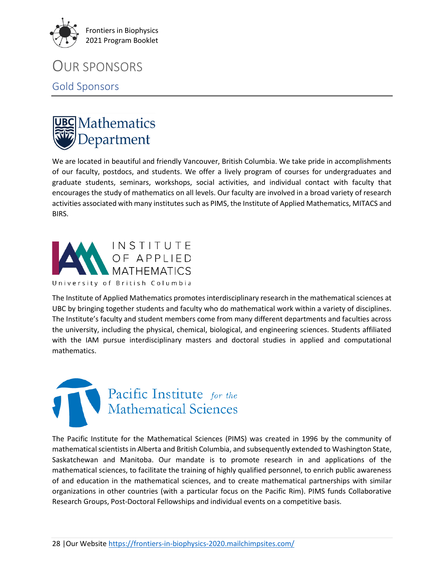

### OUR SPONSORS

### Gold Sponsors



We are located in beautiful and friendly Vancouver, British Columbia. We take pride in accomplishments of our faculty, postdocs, and students. We offer a lively program of courses for undergraduates and graduate students, seminars, workshops, social activities, and individual contact with faculty that encourages the study of mathematics on all levels. Our faculty are involved in a broad variety of research activities associated with many institutes such as PIMS, the Institute of Applied Mathematics, MITACS and BIRS.



The Institute of Applied Mathematics promotes interdisciplinary research in the mathematical sciences at UBC by bringing together students and faculty who do mathematical work within a variety of disciplines. The Institute's faculty and student members come from many different departments and faculties across the university, including the physical, chemical, biological, and engineering sciences. Students affiliated with the IAM pursue interdisciplinary masters and doctoral studies in applied and computational mathematics.



The Pacific Institute for the Mathematical Sciences (PIMS) was created in 1996 by the community of mathematical scientists in Alberta and British Columbia, and subsequently extended to Washington State, Saskatchewan and Manitoba. Our mandate is to promote research in and applications of the mathematical sciences, to facilitate the training of highly qualified personnel, to enrich public awareness of and education in the mathematical sciences, and to create mathematical partnerships with similar organizations in other countries (with a particular focus on the Pacific Rim). PIMS funds Collaborative Research Groups, Post-Doctoral Fellowships and individual events on a competitive basis.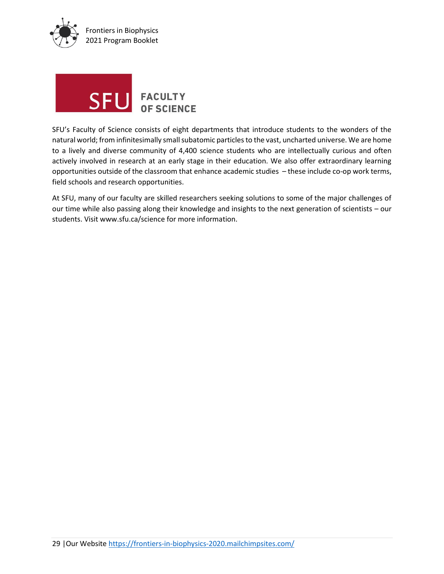



SFU's Faculty of Science consists of eight departments that introduce students to the wonders of the natural world; from infinitesimally small subatomic particles to the vast, uncharted universe. We are home to a lively and diverse community of 4,400 science students who are intellectually curious and often actively involved in research at an early stage in their education. We also offer extraordinary learning opportunities outside of the classroom that enhance academic studies – these include co-op work terms, field schools and research opportunities.

At SFU, many of our faculty are skilled researchers seeking solutions to some of the major challenges of our time while also passing along their knowledge and insights to the next generation of scientists – our students. Visit www.sfu.ca/science for more information.